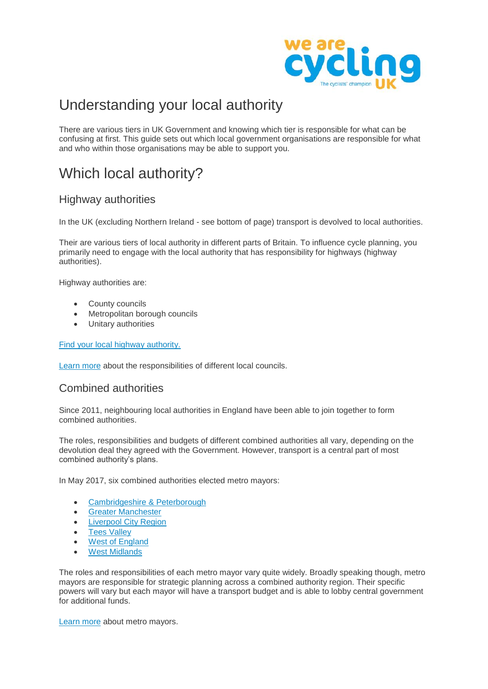

# Understanding your local authority

There are various tiers in UK Government and knowing which tier is responsible for what can be confusing at first. This guide sets out which local government organisations are responsible for what and who within those organisations may be able to support you.

# Which local authority?

# Highway authorities

In the UK (excluding Northern Ireland - see bottom of page) transport is devolved to local authorities.

Their are various tiers of local authority in different parts of Britain. To influence cycle planning, you primarily need to engage with the local authority that has responsibility for highways (highway authorities).

Highway authorities are:

- County councils
- Metropolitan borough councils
- Unitary authorities

#### [Find your local highway authority.](https://www.gov.uk/find-local-council)

[Learn more](https://www.gov.uk/understand-how-your-council-works/types-of-council) about the responsibilities of different local councils.

## Combined authorities

Since 2011, neighbouring local authorities in England have been able to join together to form combined authorities.

The roles, responsibilities and budgets of different combined authorities all vary, depending on the devolution deal they agreed with the Government. However, transport is a central part of most combined authority's plans.

In May 2017, six combined authorities elected metro mayors:

- [Cambridgeshire](http://cambridgeshirepeterborough-ca.gov.uk/) & Peterborough
- **•** [Greater Manchester](https://www.greatermanchester-ca.gov.uk/)
- [Liverpool City Region](http://liverpoolcityregion-ca.gov.uk/)
- [Tees Valley](https://teesvalley-ca.gov.uk/)
- [West of England](https://www.westofengland-ca.org.uk/)
- [West Midlands](https://www.wmca.org.uk/)

The roles and responsibilities of each metro mayor vary quite widely. Broadly speaking though, metro mayors are responsible for strategic planning across a combined authority region. Their specific powers will vary but each mayor will have a transport budget and is able to lobby central government for additional funds.

[Learn more](http://www.centreforcities.org/publication/everything-need-know-metro-mayors/) about metro mayors.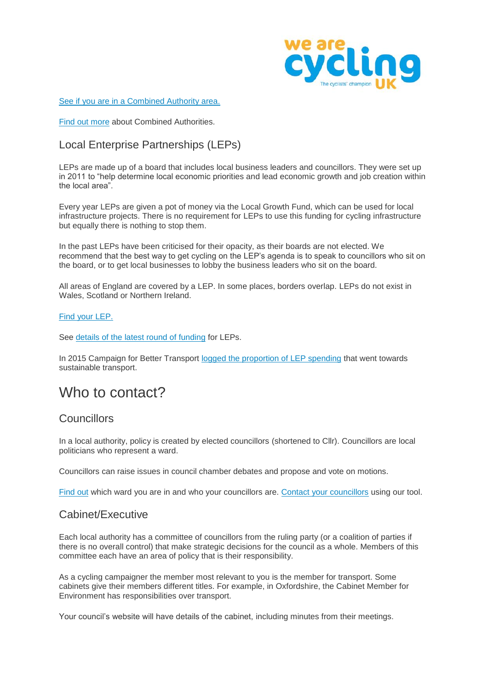

[See if you are in a Combined Authority area.](http://devoconnect.co.uk/devolution-map/)

[Find out more](http://researchbriefings.parliament.uk/ResearchBriefing/Summary/SN06649#fullreport) about Combined Authorities.

# Local Enterprise Partnerships (LEPs)

LEPs are made up of a board that includes local business leaders and councillors. They were set up in 2011 to "help determine local economic priorities and lead economic growth and job creation within the local area".

Every year LEPs are given a pot of money via the Local Growth Fund, which can be used for local infrastructure projects. There is no requirement for LEPs to use this funding for cycling infrastructure but equally there is nothing to stop them.

In the past LEPs have been criticised for their opacity, as their boards are not elected. We recommend that the best way to get cycling on the LEP's agenda is to speak to councillors who sit on the board, or to get local businesses to lobby the business leaders who sit on the board.

All areas of England are covered by a LEP. In some places, borders overlap. LEPs do not exist in Wales, Scotland or Northern Ireland.

#### [Find your LEP.](https://www.lepnetwork.net/the-network-of-leps/)

See [details of the latest round of funding](http://researchbriefings.files.parliament.uk/documents/SN07120/SN07120.pdf) for LEPs.

In 2015 Campaign for Better Transport [logged the proportion of LEP spending](http://www.bettertransport.org.uk/roads-nowhere/local-transport) that went towards sustainable transport.

# Who to contact?

## **Councillors**

In a local authority, policy is created by elected councillors (shortened to Cllr). Councillors are local politicians who represent a ward.

Councillors can raise issues in council chamber debates and propose and vote on motions.

[Find out](https://www.gov.uk/find-your-local-councillors) which ward you are in and who your councillors are. [Contact your councillors](http://space4cycling.cyclinguk.org/ea-action/action?ea.client.id=1689&ea.campaign.id=34037) using our tool.

## Cabinet/Executive

Each local authority has a committee of councillors from the ruling party (or a coalition of parties if there is no overall control) that make strategic decisions for the council as a whole. Members of this committee each have an area of policy that is their responsibility.

As a cycling campaigner the member most relevant to you is the member for transport. Some cabinets give their members different titles. For example, in Oxfordshire, the Cabinet Member for Environment has responsibilities over transport.

Your council's website will have details of the cabinet, including minutes from their meetings.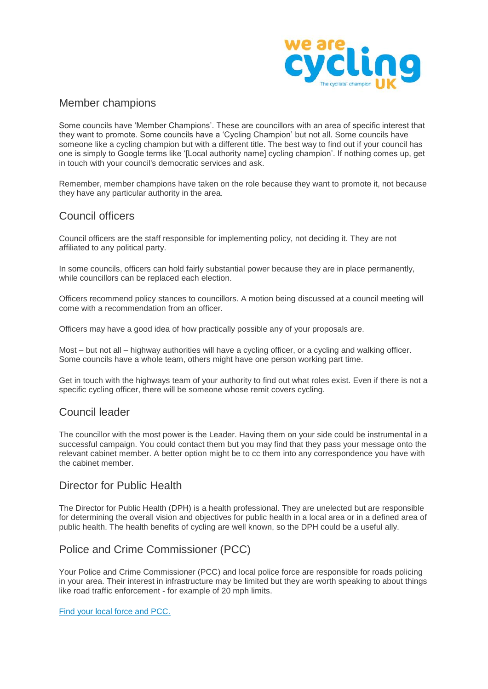

## Member champions

Some councils have 'Member Champions'. These are councillors with an area of specific interest that they want to promote. Some councils have a 'Cycling Champion' but not all. Some councils have someone like a cycling champion but with a different title. The best way to find out if your council has one is simply to Google terms like '[Local authority name] cycling champion'. If nothing comes up, get in touch with your council's democratic services and ask.

Remember, member champions have taken on the role because they want to promote it, not because they have any particular authority in the area.

## Council officers

Council officers are the staff responsible for implementing policy, not deciding it. They are not affiliated to any political party.

In some councils, officers can hold fairly substantial power because they are in place permanently, while councillors can be replaced each election.

Officers recommend policy stances to councillors. A motion being discussed at a council meeting will come with a recommendation from an officer.

Officers may have a good idea of how practically possible any of your proposals are.

Most – but not all – highway authorities will have a cycling officer, or a cycling and walking officer. Some councils have a whole team, others might have one person working part time.

Get in touch with the highways team of your authority to find out what roles exist. Even if there is not a specific cycling officer, there will be someone whose remit covers cycling.

## Council leader

The councillor with the most power is the Leader. Having them on your side could be instrumental in a successful campaign. You could contact them but you may find that they pass your message onto the relevant cabinet member. A better option might be to cc them into any correspondence you have with the cabinet member.

## Director for Public Health

The Director for Public Health (DPH) is a health professional. They are unelected but are responsible for determining the overall vision and objectives for public health in a local area or in a defined area of public health. The health benefits of cycling are well known, so the DPH could be a useful ally.

## Police and Crime Commissioner (PCC)

Your Police and Crime Commissioner (PCC) and local police force are responsible for roads policing in your area. Their interest in infrastructure may be limited but they are worth speaking to about things like road traffic enforcement - for example of 20 mph limits.

#### [Find your local force and PCC.](https://www.police.uk/)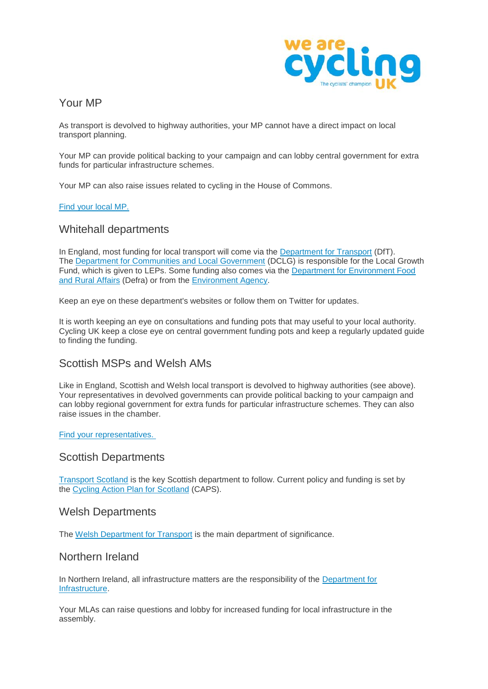

# Your MP

As transport is devolved to highway authorities, your MP cannot have a direct impact on local transport planning.

Your MP can provide political backing to your campaign and can lobby central government for extra funds for particular infrastructure schemes.

Your MP can also raise issues related to cycling in the House of Commons.

#### [Find your local MP.](https://www.writetothem.com/)

## Whitehall departments

In England, most funding for local transport will come via the [Department for Transport](https://www.gov.uk/government/organisations/department-for-transport) (DfT). The [Department for Communities and Local Government](https://www.gov.uk/government/organisations/department-for-communities-and-local-government) (DCLG) is responsible for the Local Growth Fund, which is given to LEPs. Some funding also comes via the [Department for Environment Food](https://www.gov.uk/government/organisations/department-for-environment-food-rural-affairs)  [and Rural Affairs](https://www.gov.uk/government/organisations/department-for-environment-food-rural-affairs) (Defra) or from the [Environment Agency.](https://www.gov.uk/government/organisations/environment-agency)

Keep an eye on these department's websites or follow them on Twitter for updates.

It is worth keeping an eye on consultations and funding pots that may useful to your local authority. Cycling UK keep a close eye on central government funding pots and keep a regularly updated guide to finding the funding.

## Scottish MSPs and Welsh AMs

Like in England, Scottish and Welsh local transport is devolved to highway authorities (see above). Your representatives in devolved governments can provide political backing to your campaign and can lobby regional government for extra funds for particular infrastructure schemes. They can also raise issues in the chamber.

#### [Find your representatives.](https://www.writetothem.com/)

### Scottish Departments

[Transport Scotland](https://www.transport.gov.scot/) is the key Scottish department to follow. Current policy and funding is set by the [Cycling Action Plan for Scotland](http://www.gov.scot/Topics/People/Equality/18507/EQIASearch/CyclingAction) (CAPS).

### Welsh Departments

The [Welsh Department for Transport](http://gov.wales/topics/transport/?lang=en) is the main department of significance.

### Northern Ireland

In Northern Ireland, all infrastructure matters are the responsibility of the [Department for](https://www.infrastructure-ni.gov.uk/)  [Infrastructure.](https://www.infrastructure-ni.gov.uk/)

Your MLAs can raise questions and lobby for increased funding for local infrastructure in the assembly.